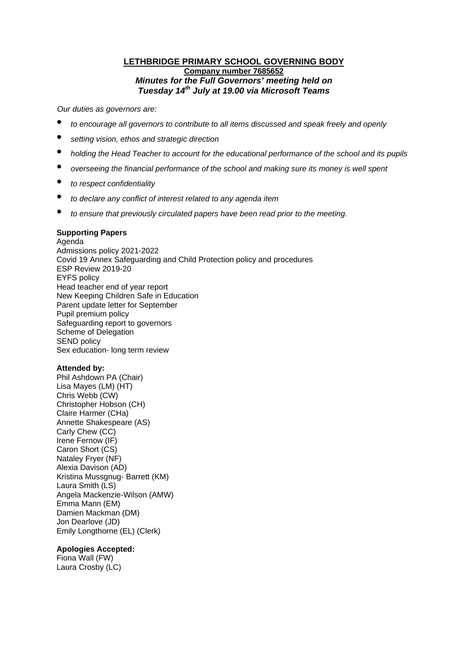# **LETHBRIDGE PRIMARY SCHOOL GOVERNING BODY Company number 7685652** *Minutes for the Full Governors' meeting held on Tuesday 14th July at 19.00 via Microsoft Teams*

*Our duties as governors are:* 

- *to encourage all governors to contribute to all items discussed and speak freely and openly*
- *setting vision, ethos and strategic direction*
- *holding the Head Teacher to account for the educational performance of the school and its pupils*
- *overseeing the financial performance of the school and making sure its money is well spent*
- *to respect confidentiality*
- *to declare any conflict of interest related to any agenda item*
- *to ensure that previously circulated papers have been read prior to the meeting.*

## **Supporting Papers**

Agenda Admissions policy 2021-2022 Covid 19 Annex Safeguarding and Child Protection policy and procedures ESP Review 2019-20 EYFS policy Head teacher end of year report New Keeping Children Safe in Education Parent update letter for September Pupil premium policy Safeguarding report to governors Scheme of Delegation SEND policy Sex education- long term review

# **Attended by:**

Phil Ashdown PA (Chair) Lisa Mayes (LM) (HT) Chris Webb (CW) Christopher Hobson (CH) Claire Harmer (CHa) Annette Shakespeare (AS) Carly Chew (CC) Irene Fernow (IF) Caron Short (CS) Nataley Fryer (NF) Alexia Davison (AD) Kristina Mussgnug- Barrett (KM) Laura Smith (LS) Angela Mackenzie-Wilson (AMW) Emma Mann (EM) Damien Mackman (DM) Jon Dearlove (JD) Emily Longthorne (EL) (Clerk)

# **Apologies Accepted:**

Fiona Wall (FW) Laura Crosby (LC)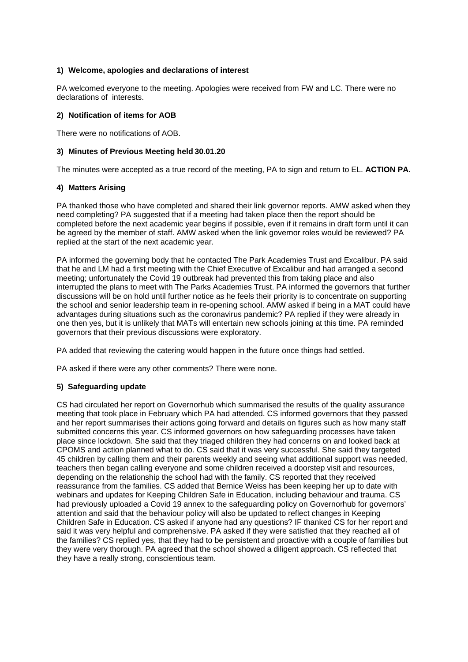# **1) Welcome, apologies and declarations of interest**

PA welcomed everyone to the meeting. Apologies were received from FW and LC. There were no declarations of interests.

#### **2) Notification of items for AOB**

There were no notifications of AOB.

#### **3) Minutes of Previous Meeting held 30.01.20**

The minutes were accepted as a true record of the meeting, PA to sign and return to EL. **ACTION PA.** 

## **4) Matters Arising**

PA thanked those who have completed and shared their link governor reports. AMW asked when they need completing? PA suggested that if a meeting had taken place then the report should be completed before the next academic year begins if possible, even if it remains in draft form until it can be agreed by the member of staff. AMW asked when the link governor roles would be reviewed? PA replied at the start of the next academic year.

PA informed the governing body that he contacted The Park Academies Trust and Excalibur. PA said that he and LM had a first meeting with the Chief Executive of Excalibur and had arranged a second meeting; unfortunately the Covid 19 outbreak had prevented this from taking place and also interrupted the plans to meet with The Parks Academies Trust. PA informed the governors that further discussions will be on hold until further notice as he feels their priority is to concentrate on supporting the school and senior leadership team in re-opening school. AMW asked if being in a MAT could have advantages during situations such as the coronavirus pandemic? PA replied if they were already in one then yes, but it is unlikely that MATs will entertain new schools joining at this time. PA reminded governors that their previous discussions were exploratory.

PA added that reviewing the catering would happen in the future once things had settled.

PA asked if there were any other comments? There were none.

# **5) Safeguarding update**

CS had circulated her report on Governorhub which summarised the results of the quality assurance meeting that took place in February which PA had attended. CS informed governors that they passed and her report summarises their actions going forward and details on figures such as how many staff submitted concerns this year. CS informed governors on how safeguarding processes have taken place since lockdown. She said that they triaged children they had concerns on and looked back at CPOMS and action planned what to do. CS said that it was very successful. She said they targeted 45 children by calling them and their parents weekly and seeing what additional support was needed, teachers then began calling everyone and some children received a doorstep visit and resources, depending on the relationship the school had with the family. CS reported that they received reassurance from the families. CS added that Bernice Weiss has been keeping her up to date with webinars and updates for Keeping Children Safe in Education, including behaviour and trauma. CS had previously uploaded a Covid 19 annex to the safeguarding policy on Governorhub for governors' attention and said that the behaviour policy will also be updated to reflect changes in Keeping Children Safe in Education. CS asked if anyone had any questions? IF thanked CS for her report and said it was very helpful and comprehensive. PA asked if they were satisfied that they reached all of the families? CS replied yes, that they had to be persistent and proactive with a couple of families but they were very thorough. PA agreed that the school showed a diligent approach. CS reflected that they have a really strong, conscientious team.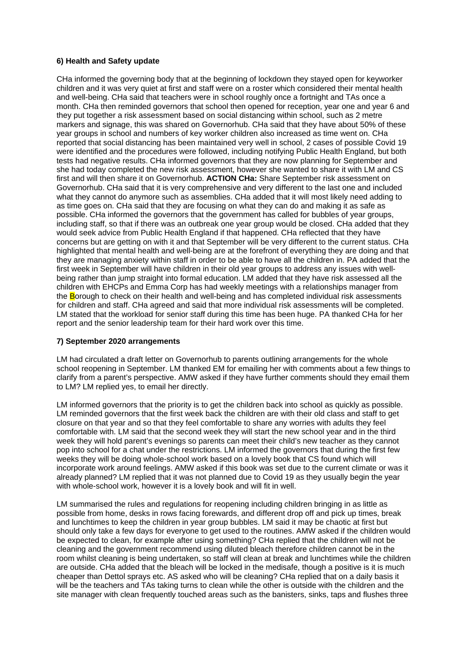## **6) Health and Safety update**

CHa informed the governing body that at the beginning of lockdown they stayed open for keyworker children and it was very quiet at first and staff were on a roster which considered their mental health and well-being. CHa said that teachers were in school roughly once a fortnight and TAs once a month. CHa then reminded governors that school then opened for reception, year one and year 6 and they put together a risk assessment based on social distancing within school, such as 2 metre markers and signage, this was shared on Governorhub. CHa said that they have about 50% of these year groups in school and numbers of key worker children also increased as time went on. CHa reported that social distancing has been maintained very well in school, 2 cases of possible Covid 19 were identified and the procedures were followed, including notifying Public Health England, but both tests had negative results. CHa informed governors that they are now planning for September and she had today completed the new risk assessment, however she wanted to share it with LM and CS first and will then share it on Governorhub. **ACTION CHa:** Share September risk assessment on Governorhub. CHa said that it is very comprehensive and very different to the last one and included what they cannot do anymore such as assemblies. CHa added that it will most likely need adding to as time goes on. CHa said that they are focusing on what they can do and making it as safe as possible. CHa informed the governors that the government has called for bubbles of year groups, including staff, so that if there was an outbreak one year group would be closed. CHa added that they would seek advice from Public Health England if that happened. CHa reflected that they have concerns but are getting on with it and that September will be very different to the current status. CHa highlighted that mental health and well-being are at the forefront of everything they are doing and that they are managing anxiety within staff in order to be able to have all the children in. PA added that the first week in September will have children in their old year groups to address any issues with wellbeing rather than jump straight into formal education. LM added that they have risk assessed all the children with EHCPs and Emma Corp has had weekly meetings with a relationships manager from the Borough to check on their health and well-being and has completed individual risk assessments for children and staff. CHa agreed and said that more individual risk assessments will be completed. LM stated that the workload for senior staff during this time has been huge. PA thanked CHa for her report and the senior leadership team for their hard work over this time.

#### **7) September 2020 arrangements**

LM had circulated a draft letter on Governorhub to parents outlining arrangements for the whole school reopening in September. LM thanked EM for emailing her with comments about a few things to clarify from a parent's perspective. AMW asked if they have further comments should they email them to LM? LM replied yes, to email her directly.

LM informed governors that the priority is to get the children back into school as quickly as possible. LM reminded governors that the first week back the children are with their old class and staff to get closure on that year and so that they feel comfortable to share any worries with adults they feel comfortable with. LM said that the second week they will start the new school year and in the third week they will hold parent's evenings so parents can meet their child's new teacher as they cannot pop into school for a chat under the restrictions. LM informed the governors that during the first few weeks they will be doing whole-school work based on a lovely book that CS found which will incorporate work around feelings. AMW asked if this book was set due to the current climate or was it already planned? LM replied that it was not planned due to Covid 19 as they usually begin the year with whole-school work, however it is a lovely book and will fit in well.

LM summarised the rules and regulations for reopening including children bringing in as little as possible from home, desks in rows facing forewards, and different drop off and pick up times, break and lunchtimes to keep the children in year group bubbles. LM said it may be chaotic at first but should only take a few days for everyone to get used to the routines. AMW asked if the children would be expected to clean, for example after using something? CHa replied that the children will not be cleaning and the government recommend using diluted bleach therefore children cannot be in the room whilst cleaning is being undertaken, so staff will clean at break and lunchtimes while the children are outside. CHa added that the bleach will be locked in the medisafe, though a positive is it is much cheaper than Dettol sprays etc. AS asked who will be cleaning? CHa replied that on a daily basis it will be the teachers and TAs taking turns to clean while the other is outside with the children and the site manager with clean frequently touched areas such as the banisters, sinks, taps and flushes three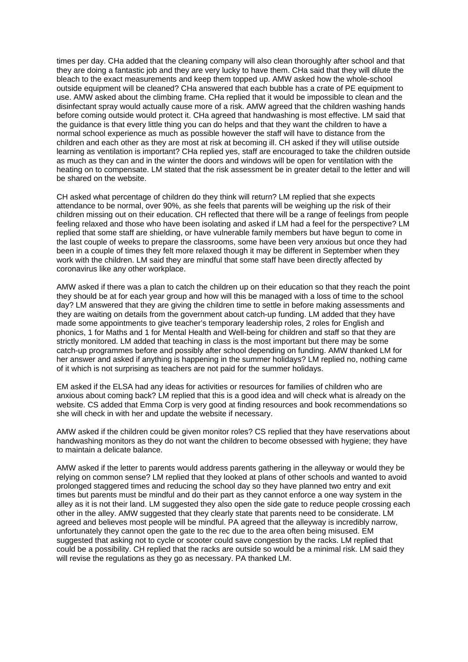times per day. CHa added that the cleaning company will also clean thoroughly after school and that they are doing a fantastic job and they are very lucky to have them. CHa said that they will dilute the bleach to the exact measurements and keep them topped up. AMW asked how the whole-school outside equipment will be cleaned? CHa answered that each bubble has a crate of PE equipment to use. AMW asked about the climbing frame. CHa replied that it would be impossible to clean and the disinfectant spray would actually cause more of a risk. AMW agreed that the children washing hands before coming outside would protect it. CHa agreed that handwashing is most effective. LM said that the guidance is that every little thing you can do helps and that they want the children to have a normal school experience as much as possible however the staff will have to distance from the children and each other as they are most at risk at becoming ill. CH asked if they will utilise outside learning as ventilation is important? CHa replied yes, staff are encouraged to take the children outside as much as they can and in the winter the doors and windows will be open for ventilation with the heating on to compensate. LM stated that the risk assessment be in greater detail to the letter and will be shared on the website.

CH asked what percentage of children do they think will return? LM replied that she expects attendance to be normal, over 90%, as she feels that parents will be weighing up the risk of their children missing out on their education. CH reflected that there will be a range of feelings from people feeling relaxed and those who have been isolating and asked if LM had a feel for the perspective? LM replied that some staff are shielding, or have vulnerable family members but have begun to come in the last couple of weeks to prepare the classrooms, some have been very anxious but once they had been in a couple of times they felt more relaxed though it may be different in September when they work with the children. LM said they are mindful that some staff have been directly affected by coronavirus like any other workplace.

AMW asked if there was a plan to catch the children up on their education so that they reach the point they should be at for each year group and how will this be managed with a loss of time to the school day? LM answered that they are giving the children time to settle in before making assessments and they are waiting on details from the government about catch-up funding. LM added that they have made some appointments to give teacher's temporary leadership roles, 2 roles for English and phonics, 1 for Maths and 1 for Mental Health and Well-being for children and staff so that they are strictly monitored. LM added that teaching in class is the most important but there may be some catch-up programmes before and possibly after school depending on funding. AMW thanked LM for her answer and asked if anything is happening in the summer holidays? LM replied no, nothing came of it which is not surprising as teachers are not paid for the summer holidays.

EM asked if the ELSA had any ideas for activities or resources for families of children who are anxious about coming back? LM replied that this is a good idea and will check what is already on the website. CS added that Emma Corp is very good at finding resources and book recommendations so she will check in with her and update the website if necessary.

AMW asked if the children could be given monitor roles? CS replied that they have reservations about handwashing monitors as they do not want the children to become obsessed with hygiene; they have to maintain a delicate balance.

AMW asked if the letter to parents would address parents gathering in the alleyway or would they be relying on common sense? LM replied that they looked at plans of other schools and wanted to avoid prolonged staggered times and reducing the school day so they have planned two entry and exit times but parents must be mindful and do their part as they cannot enforce a one way system in the alley as it is not their land. LM suggested they also open the side gate to reduce people crossing each other in the alley. AMW suggested that they clearly state that parents need to be considerate. LM agreed and believes most people will be mindful. PA agreed that the alleyway is incredibly narrow, unfortunately they cannot open the gate to the rec due to the area often being misused. EM suggested that asking not to cycle or scooter could save congestion by the racks. LM replied that could be a possibility. CH replied that the racks are outside so would be a minimal risk. LM said they will revise the regulations as they go as necessary. PA thanked LM.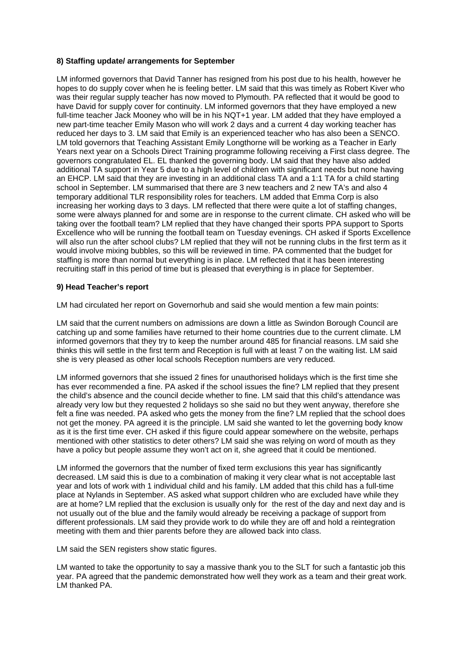# **8) Staffing update/ arrangements for September**

LM informed governors that David Tanner has resigned from his post due to his health, however he hopes to do supply cover when he is feeling better. LM said that this was timely as Robert Kiver who was their regular supply teacher has now moved to Plymouth. PA reflected that it would be good to have David for supply cover for continuity. LM informed governors that they have employed a new full-time teacher Jack Mooney who will be in his NQT+1 year. LM added that they have employed a new part-time teacher Emily Mason who will work 2 days and a current 4 day working teacher has reduced her days to 3. LM said that Emily is an experienced teacher who has also been a SENCO. LM told governors that Teaching Assistant Emily Longthorne will be working as a Teacher in Early Years next year on a Schools Direct Training programme following receiving a First class degree. The governors congratulated EL. EL thanked the governing body. LM said that they have also added additional TA support in Year 5 due to a high level of children with significant needs but none having an EHCP. LM said that they are investing in an additional class TA and a 1:1 TA for a child starting school in September. LM summarised that there are 3 new teachers and 2 new TA's and also 4 temporary additional TLR responsibility roles for teachers. LM added that Emma Corp is also increasing her working days to 3 days. LM reflected that there were quite a lot of staffing changes, some were always planned for and some are in response to the current climate. CH asked who will be taking over the football team? LM replied that they have changed their sports PPA support to Sports Excellence who will be running the football team on Tuesday evenings. CH asked if Sports Excellence will also run the after school clubs? LM replied that they will not be running clubs in the first term as it would involve mixing bubbles, so this will be reviewed in time. PA commented that the budget for staffing is more than normal but everything is in place. LM reflected that it has been interesting recruiting staff in this period of time but is pleased that everything is in place for September.

#### **9) Head Teacher's report**

LM had circulated her report on Governorhub and said she would mention a few main points:

LM said that the current numbers on admissions are down a little as Swindon Borough Council are catching up and some families have returned to their home countries due to the current climate. LM informed governors that they try to keep the number around 485 for financial reasons. LM said she thinks this will settle in the first term and Reception is full with at least 7 on the waiting list. LM said she is very pleased as other local schools Reception numbers are very reduced.

LM informed governors that she issued 2 fines for unauthorised holidays which is the first time she has ever recommended a fine. PA asked if the school issues the fine? LM replied that they present the child's absence and the council decide whether to fine. LM said that this child's attendance was already very low but they requested 2 holidays so she said no but they went anyway, therefore she felt a fine was needed. PA asked who gets the money from the fine? LM replied that the school does not get the money. PA agreed it is the principle. LM said she wanted to let the governing body know as it is the first time ever. CH asked if this figure could appear somewhere on the website, perhaps mentioned with other statistics to deter others? LM said she was relying on word of mouth as they have a policy but people assume they won't act on it, she agreed that it could be mentioned.

LM informed the governors that the number of fixed term exclusions this year has significantly decreased. LM said this is due to a combination of making it very clear what is not acceptable last year and lots of work with 1 individual child and his family. LM added that this child has a full-time place at Nylands in September. AS asked what support children who are excluded have while they are at home? LM replied that the exclusion is usually only for the rest of the day and next day and is not usually out of the blue and the family would already be receiving a package of support from different professionals. LM said they provide work to do while they are off and hold a reintegration meeting with them and thier parents before they are allowed back into class.

LM said the SEN registers show static figures.

LM wanted to take the opportunity to say a massive thank you to the SLT for such a fantastic job this year. PA agreed that the pandemic demonstrated how well they work as a team and their great work. LM thanked PA.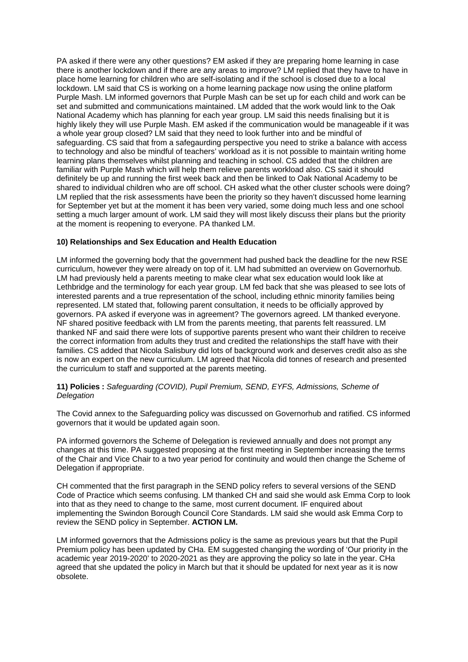PA asked if there were any other questions? EM asked if they are preparing home learning in case there is another lockdown and if there are any areas to improve? LM replied that they have to have in place home learning for children who are self-isolating and if the school is closed due to a local lockdown. LM said that CS is working on a home learning package now using the online platform Purple Mash. LM informed governors that Purple Mash can be set up for each child and work can be set and submitted and communications maintained. LM added that the work would link to the Oak National Academy which has planning for each year group. LM said this needs finalising but it is highly likely they will use Purple Mash. EM asked if the communication would be manageable if it was a whole year group closed? LM said that they need to look further into and be mindful of safeguarding. CS said that from a safegaurding perspective you need to strike a balance with access to technology and also be mindful of teachers' workload as it is not possible to maintain writing home learning plans themselves whilst planning and teaching in school. CS added that the children are familiar with Purple Mash which will help them relieve parents workload also. CS said it should definitely be up and running the first week back and then be linked to Oak National Academy to be shared to individual children who are off school. CH asked what the other cluster schools were doing? LM replied that the risk assessments have been the priority so they haven't discussed home learning for September yet but at the moment it has been very varied, some doing much less and one school setting a much larger amount of work. LM said they will most likely discuss their plans but the priority at the moment is reopening to everyone. PA thanked LM.

## **10) Relationships and Sex Education and Health Education**

LM informed the governing body that the government had pushed back the deadline for the new RSE curriculum, however they were already on top of it. LM had submitted an overview on Governorhub. LM had previously held a parents meeting to make clear what sex education would look like at Lethbridge and the terminology for each year group. LM fed back that she was pleased to see lots of interested parents and a true representation of the school, including ethnic minority families being represented. LM stated that, following parent consultation, it needs to be officially approved by governors. PA asked if everyone was in agreement? The governors agreed. LM thanked everyone. NF shared positive feedback with LM from the parents meeting, that parents felt reassured. LM thanked NF and said there were lots of supportive parents present who want their children to receive the correct information from adults they trust and credited the relationships the staff have with their families. CS added that Nicola Salisbury did lots of background work and deserves credit also as she is now an expert on the new curriculum. LM agreed that Nicola did tonnes of research and presented the curriculum to staff and supported at the parents meeting.

## **11) Policies :** *Safeguarding (COVID), Pupil Premium, SEND, EYFS, Admissions, Scheme of Delegation*

The Covid annex to the Safeguarding policy was discussed on Governorhub and ratified. CS informed governors that it would be updated again soon.

PA informed governors the Scheme of Delegation is reviewed annually and does not prompt any changes at this time. PA suggested proposing at the first meeting in September increasing the terms of the Chair and Vice Chair to a two year period for continuity and would then change the Scheme of Delegation if appropriate.

CH commented that the first paragraph in the SEND policy refers to several versions of the SEND Code of Practice which seems confusing. LM thanked CH and said she would ask Emma Corp to look into that as they need to change to the same, most current document. IF enquired about implementing the Swindon Borough Council Core Standards. LM said she would ask Emma Corp to review the SEND policy in September. **ACTION LM.**

LM informed governors that the Admissions policy is the same as previous years but that the Pupil Premium policy has been updated by CHa. EM suggested changing the wording of 'Our priority in the academic year 2019-2020' to 2020-2021 as they are approving the policy so late in the year. CHa agreed that she updated the policy in March but that it should be updated for next year as it is now obsolete.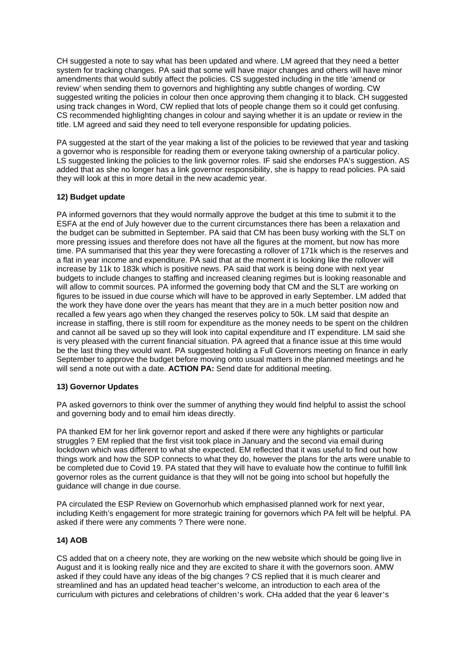CH suggested a note to say what has been updated and where. LM agreed that they need a better system for tracking changes. PA said that some will have major changes and others will have minor amendments that would subtly affect the policies. CS suggested including in the title 'amend or review' when sending them to governors and highlighting any subtle changes of wording. CW suggested writing the policies in colour then once approving them changing it to black. CH suggested using track changes in Word, CW replied that lots of people change them so it could get confusing. CS recommended highlighting changes in colour and saying whether it is an update or review in the title. LM agreed and said they need to tell everyone responsible for updating policies.

PA suggested at the start of the year making a list of the policies to be reviewed that year and tasking a governor who is responsible for reading them or everyone taking ownership of a particular policy. LS suggested linking the policies to the link governor roles. IF said she endorses PA's suggestion. AS added that as she no longer has a link governor responsibility, she is happy to read policies. PA said they will look at this in more detail in the new academic year.

## **12) Budget update**

PA informed governors that they would normally approve the budget at this time to submit it to the ESFA at the end of July however due to the current circumstances there has been a relaxation and the budget can be submitted in September. PA said that CM has been busy working with the SLT on more pressing issues and therefore does not have all the figures at the moment, but now has more time. PA summarised that this year they were forecasting a rollover of 171k which is the reserves and a flat in year income and expenditure. PA said that at the moment it is looking like the rollover will increase by 11k to 183k which is positive news. PA said that work is being done with next year budgets to include changes to staffing and increased cleaning regimes but is looking reasonable and will allow to commit sources. PA informed the governing body that CM and the SLT are working on figures to be issued in due course which will have to be approved in early September. LM added that the work they have done over the years has meant that they are in a much better position now and recalled a few years ago when they changed the reserves policy to 50k. LM said that despite an increase in staffing, there is still room for expenditure as the money needs to be spent on the children and cannot all be saved up so they will look into capital expenditure and IT expenditure. LM said she is very pleased with the current financial situation. PA agreed that a finance issue at this time would be the last thing they would want. PA suggested holding a Full Governors meeting on finance in early September to approve the budget before moving onto usual matters in the planned meetings and he will send a note out with a date. **ACTION PA:** Send date for additional meeting.

#### **13) Governor Updates**

PA asked governors to think over the summer of anything they would find helpful to assist the school and governing body and to email him ideas directly.

PA thanked EM for her link governor report and asked if there were any highlights or particular struggles ? EM replied that the first visit took place in January and the second via email during lockdown which was different to what she expected. EM reflected that it was useful to find out how things work and how the SDP connects to what they do, however the plans for the arts were unable to be completed due to Covid 19. PA stated that they will have to evaluate how the continue to fulfill link governor roles as the current guidance is that they will not be going into school but hopefully the guidance will change in due course.

PA circulated the ESP Review on Governorhub which emphasised planned work for next year, including Keith's engagement for more strategic training for governors which PA felt will be helpful. PA asked if there were any comments ? There were none.

#### **14) AOB**

CS added that on a cheery note, they are working on the new website which should be going live in August and it is looking really nice and they are excited to share it with the governors soon. AMW asked if they could have any ideas of the big changes ? CS replied that it is much clearer and streamlined and has an updated head teacher's welcome, an introduction to each area of the curriculum with pictures and celebrations of children's work. CHa added that the year 6 leaver's